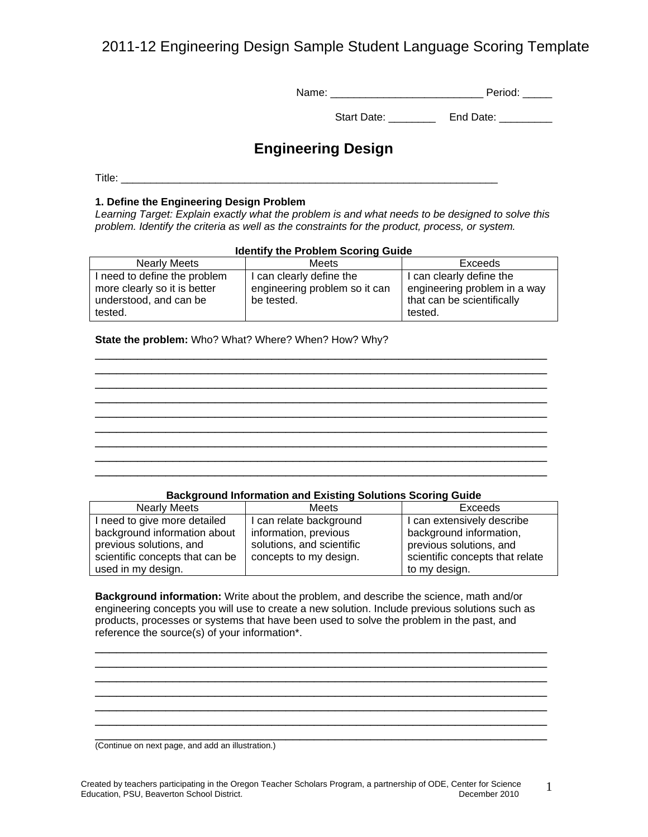2011-12 Engineering Design Sample Student Language Scoring Template

| Name: | Period: |
|-------|---------|

| <b>Start Date:</b> | End Date: |
|--------------------|-----------|
|                    |           |

## **Engineering Design**

Title: **The Community of the Community of the Community of the Community of the Community of the Community of the Community of the Community of the Community of the Community of the Community of the Community of the Commun** 

### **1. Define the Engineering Design Problem**

*Learning Target: Explain exactly what the problem is and what needs to be designed to solve this problem. Identify the criteria as well as the constraints for the product, process, or system.* 

### **Identify the Problem Scoring Guide**

| Meets                         | Exceeds                      |
|-------------------------------|------------------------------|
| can clearly define the        | I can clearly define the     |
| engineering problem so it can | engineering problem in a way |
| be tested.                    | that can be scientifically   |
|                               | tested.                      |
|                               |                              |

### **State the problem:** Who? What? Where? When? How? Why?

|  |  |  | _________ |
|--|--|--|-----------|
|  |  |  |           |
|  |  |  |           |
|  |  |  |           |
|  |  |  |           |

\_\_\_\_\_\_\_\_\_\_\_\_\_\_\_\_\_\_\_\_\_\_\_\_\_\_\_\_\_\_\_\_\_\_\_\_\_\_\_\_\_\_\_\_\_\_\_\_\_\_\_\_\_\_\_\_\_\_\_\_\_\_\_\_

### **Background Information and Existing Solutions Scoring Guide**

| <b>Nearly Meets</b>             | Meets                     | Exceeds                         |
|---------------------------------|---------------------------|---------------------------------|
| I need to give more detailed    | I can relate background   | I can extensively describe      |
| background information about    | information, previous     | background information,         |
| previous solutions, and         | solutions, and scientific | previous solutions, and         |
| scientific concepts that can be | concepts to my design.    | scientific concepts that relate |
| used in my design.              |                           | to my design.                   |

**Background information:** Write about the problem, and describe the science, math and/or engineering concepts you will use to create a new solution. Include previous solutions such as products, processes or systems that have been used to solve the problem in the past, and reference the source(s) of your information\*.

\_\_\_\_\_\_\_\_\_\_\_\_\_\_\_\_\_\_\_\_\_\_\_\_\_\_\_\_\_\_\_\_\_\_\_\_\_\_\_\_\_\_\_\_\_\_\_\_\_\_\_\_\_\_\_\_\_\_\_\_\_\_\_\_ \_\_\_\_\_\_\_\_\_\_\_\_\_\_\_\_\_\_\_\_\_\_\_\_\_\_\_\_\_\_\_\_\_\_\_\_\_\_\_\_\_\_\_\_\_\_\_\_\_\_\_\_\_\_\_\_\_\_\_\_\_\_\_\_ \_\_\_\_\_\_\_\_\_\_\_\_\_\_\_\_\_\_\_\_\_\_\_\_\_\_\_\_\_\_\_\_\_\_\_\_\_\_\_\_\_\_\_\_\_\_\_\_\_\_\_\_\_\_\_\_\_\_\_\_\_\_\_\_ \_\_\_\_\_\_\_\_\_\_\_\_\_\_\_\_\_\_\_\_\_\_\_\_\_\_\_\_\_\_\_\_\_\_\_\_\_\_\_\_\_\_\_\_\_\_\_\_\_\_\_\_\_\_\_\_\_\_\_\_\_\_\_\_ \_\_\_\_\_\_\_\_\_\_\_\_\_\_\_\_\_\_\_\_\_\_\_\_\_\_\_\_\_\_\_\_\_\_\_\_\_\_\_\_\_\_\_\_\_\_\_\_\_\_\_\_\_\_\_\_\_\_\_\_\_\_\_\_ \_\_\_\_\_\_\_\_\_\_\_\_\_\_\_\_\_\_\_\_\_\_\_\_\_\_\_\_\_\_\_\_\_\_\_\_\_\_\_\_\_\_\_\_\_\_\_\_\_\_\_\_\_\_\_\_\_\_\_\_\_\_\_\_ \_\_\_\_\_\_\_\_\_\_\_\_\_\_\_\_\_\_\_\_\_\_\_\_\_\_\_\_\_\_\_\_\_\_\_\_\_\_\_\_\_\_\_\_\_\_\_\_\_\_\_\_\_\_\_\_\_\_\_\_\_\_\_\_

(Continue on next page, and add an illustration.)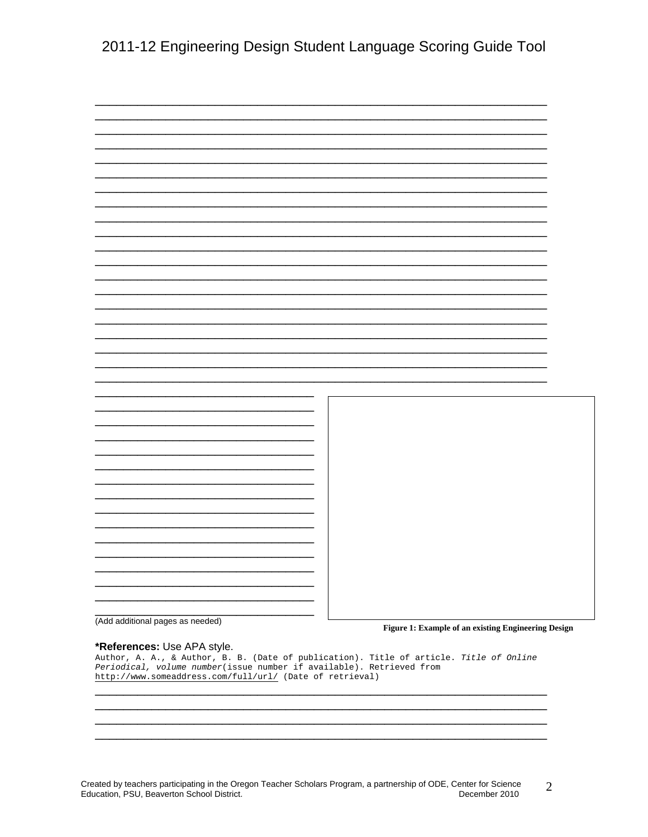|                                  | Ξ.                       |                                                     |
|----------------------------------|--------------------------|-----------------------------------------------------|
|                                  | $\overline{\phantom{0}}$ |                                                     |
|                                  |                          |                                                     |
|                                  |                          |                                                     |
|                                  |                          |                                                     |
|                                  | ÷                        |                                                     |
|                                  |                          |                                                     |
|                                  |                          |                                                     |
|                                  |                          |                                                     |
|                                  |                          |                                                     |
|                                  |                          |                                                     |
|                                  |                          |                                                     |
| (Add additional pages as needed) |                          |                                                     |
|                                  |                          | Figure 1: Example of an existing Engineering Design |

## \*References: Use APA style.

Author, A. A., & Author, B. B. (Date of publication). Title of article. Title of Online Periodical, volume number(issue number if available). Retrieved from http://www.someaddress.com/full/url/ (Date of retrieval)

Created by teachers participating in the Oregon Teacher Scholars Program, a partnership of ODE, Center for Science  $\overline{2}$ Education, PSU, Beaverton School District. December 2010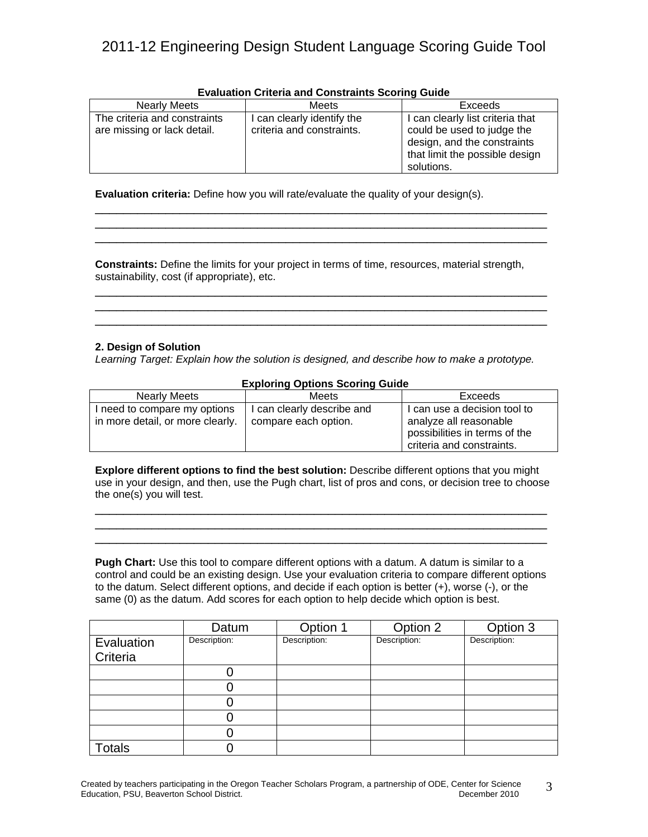| Lydiudium Uniteria and Constraints Occinity Ouide |                           |                                  |  |  |
|---------------------------------------------------|---------------------------|----------------------------------|--|--|
| <b>Nearly Meets</b>                               | <b>Meets</b>              | Exceeds                          |  |  |
| The criteria and constraints                      | can clearly identify the  | I can clearly list criteria that |  |  |
| are missing or lack detail.                       | criteria and constraints. | could be used to judge the       |  |  |
|                                                   |                           | design, and the constraints      |  |  |
|                                                   |                           | that limit the possible design   |  |  |
|                                                   |                           | solutions.                       |  |  |

\_\_\_\_\_\_\_\_\_\_\_\_\_\_\_\_\_\_\_\_\_\_\_\_\_\_\_\_\_\_\_\_\_\_\_\_\_\_\_\_\_\_\_\_\_\_\_\_\_\_\_\_\_\_\_\_\_\_\_\_\_\_\_\_ \_\_\_\_\_\_\_\_\_\_\_\_\_\_\_\_\_\_\_\_\_\_\_\_\_\_\_\_\_\_\_\_\_\_\_\_\_\_\_\_\_\_\_\_\_\_\_\_\_\_\_\_\_\_\_\_\_\_\_\_\_\_\_\_

\_\_\_\_\_\_\_\_\_\_\_\_\_\_\_\_\_\_\_\_\_\_\_\_\_\_\_\_\_\_\_\_\_\_\_\_\_\_\_\_\_\_\_\_\_\_\_\_\_\_\_\_\_\_\_\_\_\_\_\_\_\_\_\_

### **Evaluation Criteria and Constraints Scoring Guide**

**Evaluation criteria:** Define how you will rate/evaluate the quality of your design(s).

**Constraints:** Define the limits for your project in terms of time, resources, material strength, sustainability, cost (if appropriate), etc.

\_\_\_\_\_\_\_\_\_\_\_\_\_\_\_\_\_\_\_\_\_\_\_\_\_\_\_\_\_\_\_\_\_\_\_\_\_\_\_\_\_\_\_\_\_\_\_\_\_\_\_\_\_\_\_\_\_\_\_\_\_\_\_\_ \_\_\_\_\_\_\_\_\_\_\_\_\_\_\_\_\_\_\_\_\_\_\_\_\_\_\_\_\_\_\_\_\_\_\_\_\_\_\_\_\_\_\_\_\_\_\_\_\_\_\_\_\_\_\_\_\_\_\_\_\_\_\_\_ \_\_\_\_\_\_\_\_\_\_\_\_\_\_\_\_\_\_\_\_\_\_\_\_\_\_\_\_\_\_\_\_\_\_\_\_\_\_\_\_\_\_\_\_\_\_\_\_\_\_\_\_\_\_\_\_\_\_\_\_\_\_\_\_

### **2. Design of Solution**

*Learning Target: Explain how the solution is designed, and describe how to make a prototype.* 

| <b>Exploring Options Scoring Guide</b>                           |                                                    |                                                                                                                      |  |  |
|------------------------------------------------------------------|----------------------------------------------------|----------------------------------------------------------------------------------------------------------------------|--|--|
| <b>Nearly Meets</b>                                              | Meets                                              | Exceeds                                                                                                              |  |  |
| I need to compare my options<br>in more detail, or more clearly. | l can clearly describe and<br>compare each option. | I can use a decision tool to<br>analyze all reasonable<br>possibilities in terms of the<br>criteria and constraints. |  |  |

**Explore different options to find the best solution:** Describe different options that you might use in your design, and then, use the Pugh chart, list of pros and cons, or decision tree to choose the one(s) you will test.

\_\_\_\_\_\_\_\_\_\_\_\_\_\_\_\_\_\_\_\_\_\_\_\_\_\_\_\_\_\_\_\_\_\_\_\_\_\_\_\_\_\_\_\_\_\_\_\_\_\_\_\_\_\_\_\_\_\_\_\_\_\_\_\_ \_\_\_\_\_\_\_\_\_\_\_\_\_\_\_\_\_\_\_\_\_\_\_\_\_\_\_\_\_\_\_\_\_\_\_\_\_\_\_\_\_\_\_\_\_\_\_\_\_\_\_\_\_\_\_\_\_\_\_\_\_\_\_\_ \_\_\_\_\_\_\_\_\_\_\_\_\_\_\_\_\_\_\_\_\_\_\_\_\_\_\_\_\_\_\_\_\_\_\_\_\_\_\_\_\_\_\_\_\_\_\_\_\_\_\_\_\_\_\_\_\_\_\_\_\_\_\_\_

**Pugh Chart:** Use this tool to compare different options with a datum. A datum is similar to a control and could be an existing design. Use your evaluation criteria to compare different options to the datum. Select different options, and decide if each option is better (+), worse (-), or the same (0) as the datum. Add scores for each option to help decide which option is best.

|                        | Datum        | Option 1     | Option 2     | Option 3     |
|------------------------|--------------|--------------|--------------|--------------|
| Evaluation<br>Criteria | Description: | Description: | Description: | Description: |
|                        |              |              |              |              |
|                        |              |              |              |              |
|                        |              |              |              |              |
|                        |              |              |              |              |
|                        |              |              |              |              |
| <b>Totals</b>          |              |              |              |              |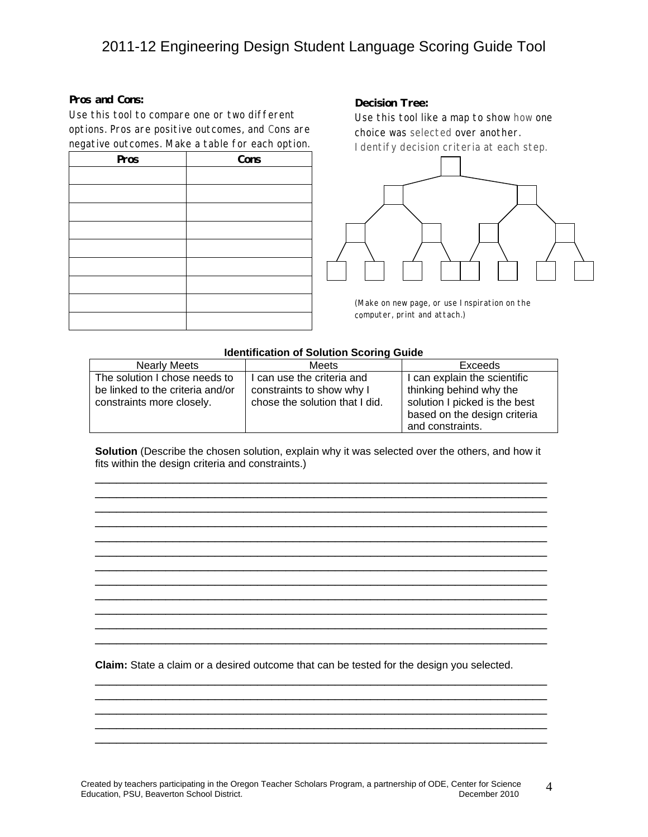#### **Pros and Cons:**

Use this tool to compare one or two different options. Pros are positive outcomes, and Cons are negative outcomes. Make a table for each option.

| Pros | Cons |
|------|------|
|      |      |
|      |      |
|      |      |
|      |      |
|      |      |
|      |      |
|      |      |
|      |      |
|      |      |

#### **Decision Tree:**

Use this tool like a map to show how one choice was selected over another. Identify decision criteria at each step.



(Make on new page, or use Inspiration on the computer, print and attach.)

### **Identification of Solution Scoring Guide**

| <b>Nearly Meets</b>              | Meets                          | Exceeds                       |
|----------------------------------|--------------------------------|-------------------------------|
| The solution I chose needs to    | I can use the criteria and     | I can explain the scientific  |
| be linked to the criteria and/or | constraints to show why I      | thinking behind why the       |
| constraints more closely.        | chose the solution that I did. | solution I picked is the best |
|                                  |                                | based on the design criteria  |
|                                  |                                | and constraints.              |

**Solution** (Describe the chosen solution, explain why it was selected over the others, and how it fits within the design criteria and constraints.)

\_\_\_\_\_\_\_\_\_\_\_\_\_\_\_\_\_\_\_\_\_\_\_\_\_\_\_\_\_\_\_\_\_\_\_\_\_\_\_\_\_\_\_\_\_\_\_\_\_\_\_\_\_\_\_\_\_\_\_\_\_\_\_\_ \_\_\_\_\_\_\_\_\_\_\_\_\_\_\_\_\_\_\_\_\_\_\_\_\_\_\_\_\_\_\_\_\_\_\_\_\_\_\_\_\_\_\_\_\_\_\_\_\_\_\_\_\_\_\_\_\_\_\_\_\_\_\_\_ \_\_\_\_\_\_\_\_\_\_\_\_\_\_\_\_\_\_\_\_\_\_\_\_\_\_\_\_\_\_\_\_\_\_\_\_\_\_\_\_\_\_\_\_\_\_\_\_\_\_\_\_\_\_\_\_\_\_\_\_\_\_\_\_ \_\_\_\_\_\_\_\_\_\_\_\_\_\_\_\_\_\_\_\_\_\_\_\_\_\_\_\_\_\_\_\_\_\_\_\_\_\_\_\_\_\_\_\_\_\_\_\_\_\_\_\_\_\_\_\_\_\_\_\_\_\_\_\_ \_\_\_\_\_\_\_\_\_\_\_\_\_\_\_\_\_\_\_\_\_\_\_\_\_\_\_\_\_\_\_\_\_\_\_\_\_\_\_\_\_\_\_\_\_\_\_\_\_\_\_\_\_\_\_\_\_\_\_\_\_\_\_\_ \_\_\_\_\_\_\_\_\_\_\_\_\_\_\_\_\_\_\_\_\_\_\_\_\_\_\_\_\_\_\_\_\_\_\_\_\_\_\_\_\_\_\_\_\_\_\_\_\_\_\_\_\_\_\_\_\_\_\_\_\_\_\_\_ \_\_\_\_\_\_\_\_\_\_\_\_\_\_\_\_\_\_\_\_\_\_\_\_\_\_\_\_\_\_\_\_\_\_\_\_\_\_\_\_\_\_\_\_\_\_\_\_\_\_\_\_\_\_\_\_\_\_\_\_\_\_\_\_ \_\_\_\_\_\_\_\_\_\_\_\_\_\_\_\_\_\_\_\_\_\_\_\_\_\_\_\_\_\_\_\_\_\_\_\_\_\_\_\_\_\_\_\_\_\_\_\_\_\_\_\_\_\_\_\_\_\_\_\_\_\_\_\_ \_\_\_\_\_\_\_\_\_\_\_\_\_\_\_\_\_\_\_\_\_\_\_\_\_\_\_\_\_\_\_\_\_\_\_\_\_\_\_\_\_\_\_\_\_\_\_\_\_\_\_\_\_\_\_\_\_\_\_\_\_\_\_\_ \_\_\_\_\_\_\_\_\_\_\_\_\_\_\_\_\_\_\_\_\_\_\_\_\_\_\_\_\_\_\_\_\_\_\_\_\_\_\_\_\_\_\_\_\_\_\_\_\_\_\_\_\_\_\_\_\_\_\_\_\_\_\_\_ \_\_\_\_\_\_\_\_\_\_\_\_\_\_\_\_\_\_\_\_\_\_\_\_\_\_\_\_\_\_\_\_\_\_\_\_\_\_\_\_\_\_\_\_\_\_\_\_\_\_\_\_\_\_\_\_\_\_\_\_\_\_\_\_ \_\_\_\_\_\_\_\_\_\_\_\_\_\_\_\_\_\_\_\_\_\_\_\_\_\_\_\_\_\_\_\_\_\_\_\_\_\_\_\_\_\_\_\_\_\_\_\_\_\_\_\_\_\_\_\_\_\_\_\_\_\_\_\_

**Claim:** State a claim or a desired outcome that can be tested for the design you selected.

\_\_\_\_\_\_\_\_\_\_\_\_\_\_\_\_\_\_\_\_\_\_\_\_\_\_\_\_\_\_\_\_\_\_\_\_\_\_\_\_\_\_\_\_\_\_\_\_\_\_\_\_\_\_\_\_\_\_\_\_\_\_\_\_ \_\_\_\_\_\_\_\_\_\_\_\_\_\_\_\_\_\_\_\_\_\_\_\_\_\_\_\_\_\_\_\_\_\_\_\_\_\_\_\_\_\_\_\_\_\_\_\_\_\_\_\_\_\_\_\_\_\_\_\_\_\_\_\_ \_\_\_\_\_\_\_\_\_\_\_\_\_\_\_\_\_\_\_\_\_\_\_\_\_\_\_\_\_\_\_\_\_\_\_\_\_\_\_\_\_\_\_\_\_\_\_\_\_\_\_\_\_\_\_\_\_\_\_\_\_\_\_\_ \_\_\_\_\_\_\_\_\_\_\_\_\_\_\_\_\_\_\_\_\_\_\_\_\_\_\_\_\_\_\_\_\_\_\_\_\_\_\_\_\_\_\_\_\_\_\_\_\_\_\_\_\_\_\_\_\_\_\_\_\_\_\_\_ \_\_\_\_\_\_\_\_\_\_\_\_\_\_\_\_\_\_\_\_\_\_\_\_\_\_\_\_\_\_\_\_\_\_\_\_\_\_\_\_\_\_\_\_\_\_\_\_\_\_\_\_\_\_\_\_\_\_\_\_\_\_\_\_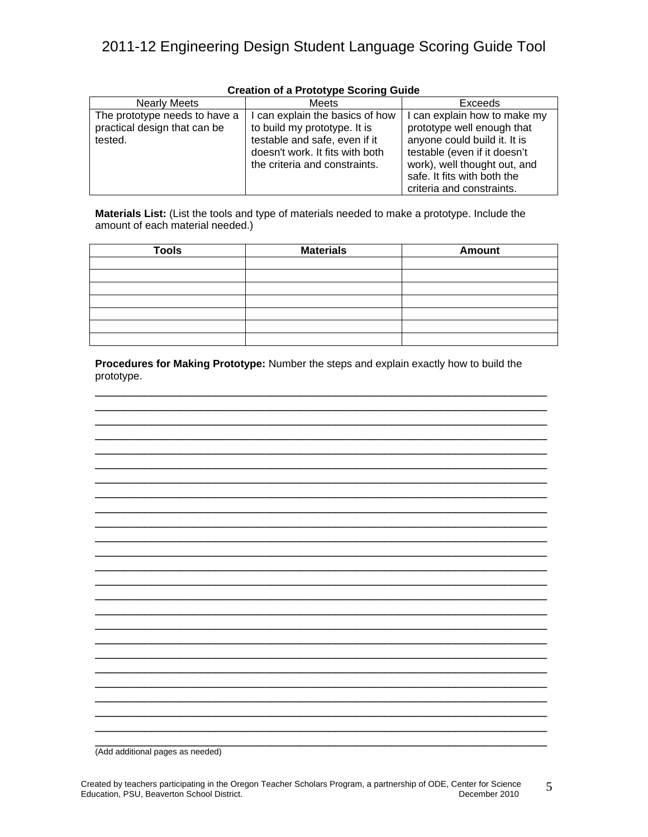| <b>Nearly Meets</b>                                                      | Meets                                                                                                                                                              | Exceeds                                                                                                                                                                                                                |
|--------------------------------------------------------------------------|--------------------------------------------------------------------------------------------------------------------------------------------------------------------|------------------------------------------------------------------------------------------------------------------------------------------------------------------------------------------------------------------------|
| The prototype needs to have a<br>practical design that can be<br>tested. | can explain the basics of how<br>to build my prototype. It is<br>testable and safe, even if it<br>doesn't work. It fits with both<br>the criteria and constraints. | I can explain how to make my<br>prototype well enough that<br>anyone could build it. It is<br>testable (even if it doesn't<br>work), well thought out, and<br>safe. It fits with both the<br>criteria and constraints. |

## **Creation of a Prototype Scoring Guide**

**Materials List:** (List the tools and type of materials needed to make a prototype. Include the amount of each material needed.)

| <b>Tools</b> | <b>Materials</b> | <b>Amount</b> |
|--------------|------------------|---------------|
|              |                  |               |
|              |                  |               |
|              |                  |               |
|              |                  |               |
|              |                  |               |
|              |                  |               |
|              |                  |               |

**Procedures for Making Prototype:** Number the steps and explain exactly how to build the prototype.

\_\_\_\_\_\_\_\_\_\_\_\_\_\_\_\_\_\_\_\_\_\_\_\_\_\_\_\_\_\_\_\_\_\_\_\_\_\_\_\_\_\_\_\_\_\_\_\_\_\_\_\_\_\_\_\_\_\_\_\_\_\_\_\_ \_\_\_\_\_\_\_\_\_\_\_\_\_\_\_\_\_\_\_\_\_\_\_\_\_\_\_\_\_\_\_\_\_\_\_\_\_\_\_\_\_\_\_\_\_\_\_\_\_\_\_\_\_\_\_\_\_\_\_\_\_\_\_\_ \_\_\_\_\_\_\_\_\_\_\_\_\_\_\_\_\_\_\_\_\_\_\_\_\_\_\_\_\_\_\_\_\_\_\_\_\_\_\_\_\_\_\_\_\_\_\_\_\_\_\_\_\_\_\_\_\_\_\_\_\_\_\_\_ \_\_\_\_\_\_\_\_\_\_\_\_\_\_\_\_\_\_\_\_\_\_\_\_\_\_\_\_\_\_\_\_\_\_\_\_\_\_\_\_\_\_\_\_\_\_\_\_\_\_\_\_\_\_\_\_\_\_\_\_\_\_\_\_ \_\_\_\_\_\_\_\_\_\_\_\_\_\_\_\_\_\_\_\_\_\_\_\_\_\_\_\_\_\_\_\_\_\_\_\_\_\_\_\_\_\_\_\_\_\_\_\_\_\_\_\_\_\_\_\_\_\_\_\_\_\_\_\_ \_\_\_\_\_\_\_\_\_\_\_\_\_\_\_\_\_\_\_\_\_\_\_\_\_\_\_\_\_\_\_\_\_\_\_\_\_\_\_\_\_\_\_\_\_\_\_\_\_\_\_\_\_\_\_\_\_\_\_\_\_\_\_\_ \_\_\_\_\_\_\_\_\_\_\_\_\_\_\_\_\_\_\_\_\_\_\_\_\_\_\_\_\_\_\_\_\_\_\_\_\_\_\_\_\_\_\_\_\_\_\_\_\_\_\_\_\_\_\_\_\_\_\_\_\_\_\_\_ \_\_\_\_\_\_\_\_\_\_\_\_\_\_\_\_\_\_\_\_\_\_\_\_\_\_\_\_\_\_\_\_\_\_\_\_\_\_\_\_\_\_\_\_\_\_\_\_\_\_\_\_\_\_\_\_\_\_\_\_\_\_\_\_ \_\_\_\_\_\_\_\_\_\_\_\_\_\_\_\_\_\_\_\_\_\_\_\_\_\_\_\_\_\_\_\_\_\_\_\_\_\_\_\_\_\_\_\_\_\_\_\_\_\_\_\_\_\_\_\_\_\_\_\_\_\_\_\_ \_\_\_\_\_\_\_\_\_\_\_\_\_\_\_\_\_\_\_\_\_\_\_\_\_\_\_\_\_\_\_\_\_\_\_\_\_\_\_\_\_\_\_\_\_\_\_\_\_\_\_\_\_\_\_\_\_\_\_\_\_\_\_\_ \_\_\_\_\_\_\_\_\_\_\_\_\_\_\_\_\_\_\_\_\_\_\_\_\_\_\_\_\_\_\_\_\_\_\_\_\_\_\_\_\_\_\_\_\_\_\_\_\_\_\_\_\_\_\_\_\_\_\_\_\_\_\_\_ \_\_\_\_\_\_\_\_\_\_\_\_\_\_\_\_\_\_\_\_\_\_\_\_\_\_\_\_\_\_\_\_\_\_\_\_\_\_\_\_\_\_\_\_\_\_\_\_\_\_\_\_\_\_\_\_\_\_\_\_\_\_\_\_ \_\_\_\_\_\_\_\_\_\_\_\_\_\_\_\_\_\_\_\_\_\_\_\_\_\_\_\_\_\_\_\_\_\_\_\_\_\_\_\_\_\_\_\_\_\_\_\_\_\_\_\_\_\_\_\_\_\_\_\_\_\_\_\_ \_\_\_\_\_\_\_\_\_\_\_\_\_\_\_\_\_\_\_\_\_\_\_\_\_\_\_\_\_\_\_\_\_\_\_\_\_\_\_\_\_\_\_\_\_\_\_\_\_\_\_\_\_\_\_\_\_\_\_\_\_\_\_\_ \_\_\_\_\_\_\_\_\_\_\_\_\_\_\_\_\_\_\_\_\_\_\_\_\_\_\_\_\_\_\_\_\_\_\_\_\_\_\_\_\_\_\_\_\_\_\_\_\_\_\_\_\_\_\_\_\_\_\_\_\_\_\_\_ \_\_\_\_\_\_\_\_\_\_\_\_\_\_\_\_\_\_\_\_\_\_\_\_\_\_\_\_\_\_\_\_\_\_\_\_\_\_\_\_\_\_\_\_\_\_\_\_\_\_\_\_\_\_\_\_\_\_\_\_\_\_\_\_ \_\_\_\_\_\_\_\_\_\_\_\_\_\_\_\_\_\_\_\_\_\_\_\_\_\_\_\_\_\_\_\_\_\_\_\_\_\_\_\_\_\_\_\_\_\_\_\_\_\_\_\_\_\_\_\_\_\_\_\_\_\_\_\_ \_\_\_\_\_\_\_\_\_\_\_\_\_\_\_\_\_\_\_\_\_\_\_\_\_\_\_\_\_\_\_\_\_\_\_\_\_\_\_\_\_\_\_\_\_\_\_\_\_\_\_\_\_\_\_\_\_\_\_\_\_\_\_\_ \_\_\_\_\_\_\_\_\_\_\_\_\_\_\_\_\_\_\_\_\_\_\_\_\_\_\_\_\_\_\_\_\_\_\_\_\_\_\_\_\_\_\_\_\_\_\_\_\_\_\_\_\_\_\_\_\_\_\_\_\_\_\_\_ \_\_\_\_\_\_\_\_\_\_\_\_\_\_\_\_\_\_\_\_\_\_\_\_\_\_\_\_\_\_\_\_\_\_\_\_\_\_\_\_\_\_\_\_\_\_\_\_\_\_\_\_\_\_\_\_\_\_\_\_\_\_\_\_ \_\_\_\_\_\_\_\_\_\_\_\_\_\_\_\_\_\_\_\_\_\_\_\_\_\_\_\_\_\_\_\_\_\_\_\_\_\_\_\_\_\_\_\_\_\_\_\_\_\_\_\_\_\_\_\_\_\_\_\_\_\_\_\_ \_\_\_\_\_\_\_\_\_\_\_\_\_\_\_\_\_\_\_\_\_\_\_\_\_\_\_\_\_\_\_\_\_\_\_\_\_\_\_\_\_\_\_\_\_\_\_\_\_\_\_\_\_\_\_\_\_\_\_\_\_\_\_\_ \_\_\_\_\_\_\_\_\_\_\_\_\_\_\_\_\_\_\_\_\_\_\_\_\_\_\_\_\_\_\_\_\_\_\_\_\_\_\_\_\_\_\_\_\_\_\_\_\_\_\_\_\_\_\_\_\_\_\_\_\_\_\_\_ \_\_\_\_\_\_\_\_\_\_\_\_\_\_\_\_\_\_\_\_\_\_\_\_\_\_\_\_\_\_\_\_\_\_\_\_\_\_\_\_\_\_\_\_\_\_\_\_\_\_\_\_\_\_\_\_\_\_\_\_\_\_\_\_

\_\_\_\_\_\_\_\_\_\_\_\_\_\_\_\_\_\_\_\_\_\_\_\_\_\_\_\_\_\_\_\_\_\_\_\_\_\_\_\_\_\_\_\_\_\_\_\_\_\_\_\_\_\_\_\_\_\_\_\_\_\_\_\_ (Add additional pages as needed)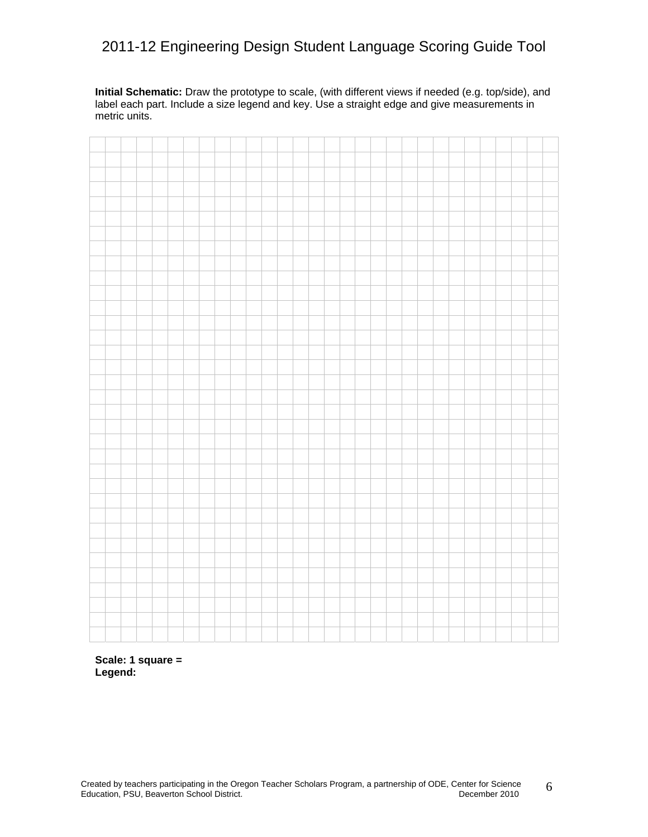**Initial Schematic:** Draw the prototype to scale, (with different views if needed (e.g. top/side), and label each part. Include a size legend and key. Use a straight edge and give measurements in metric units.

**Scale: 1 square = Legend:**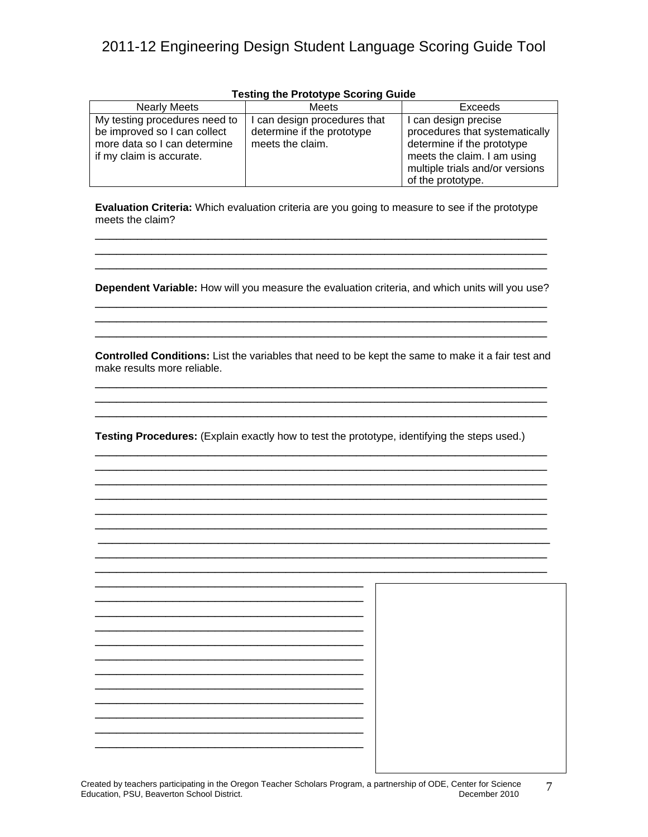| <b>Nearly Meets</b>           | Meets                      | Exceeds                         |
|-------------------------------|----------------------------|---------------------------------|
| My testing procedures need to | can design procedures that | I can design precise            |
| be improved so I can collect  | determine if the prototype | procedures that systematically  |
| more data so I can determine  | meets the claim.           | determine if the prototype      |
| if my claim is accurate.      |                            | meets the claim. I am using     |
|                               |                            | multiple trials and/or versions |
|                               |                            | of the prototype.               |

### **Testing the Prototype Scoring Guide**

**Evaluation Criteria:** Which evaluation criteria are you going to measure to see if the prototype meets the claim?

\_\_\_\_\_\_\_\_\_\_\_\_\_\_\_\_\_\_\_\_\_\_\_\_\_\_\_\_\_\_\_\_\_\_\_\_\_\_\_\_\_\_\_\_\_\_\_\_\_\_\_\_\_\_\_\_\_\_\_\_\_\_\_\_ \_\_\_\_\_\_\_\_\_\_\_\_\_\_\_\_\_\_\_\_\_\_\_\_\_\_\_\_\_\_\_\_\_\_\_\_\_\_\_\_\_\_\_\_\_\_\_\_\_\_\_\_\_\_\_\_\_\_\_\_\_\_\_\_ \_\_\_\_\_\_\_\_\_\_\_\_\_\_\_\_\_\_\_\_\_\_\_\_\_\_\_\_\_\_\_\_\_\_\_\_\_\_\_\_\_\_\_\_\_\_\_\_\_\_\_\_\_\_\_\_\_\_\_\_\_\_\_\_

**Dependent Variable:** How will you measure the evaluation criteria, and which units will you use? \_\_\_\_\_\_\_\_\_\_\_\_\_\_\_\_\_\_\_\_\_\_\_\_\_\_\_\_\_\_\_\_\_\_\_\_\_\_\_\_\_\_\_\_\_\_\_\_\_\_\_\_\_\_\_\_\_\_\_\_\_\_\_\_

\_\_\_\_\_\_\_\_\_\_\_\_\_\_\_\_\_\_\_\_\_\_\_\_\_\_\_\_\_\_\_\_\_\_\_\_\_\_\_\_\_\_\_\_\_\_\_\_\_\_\_\_\_\_\_\_\_\_\_\_\_\_\_\_ \_\_\_\_\_\_\_\_\_\_\_\_\_\_\_\_\_\_\_\_\_\_\_\_\_\_\_\_\_\_\_\_\_\_\_\_\_\_\_\_\_\_\_\_\_\_\_\_\_\_\_\_\_\_\_\_\_\_\_\_\_\_\_\_

**Controlled Conditions:** List the variables that need to be kept the same to make it a fair test and make results more reliable. \_\_\_\_\_\_\_\_\_\_\_\_\_\_\_\_\_\_\_\_\_\_\_\_\_\_\_\_\_\_\_\_\_\_\_\_\_\_\_\_\_\_\_\_\_\_\_\_\_\_\_\_\_\_\_\_\_\_\_\_\_\_\_\_

\_\_\_\_\_\_\_\_\_\_\_\_\_\_\_\_\_\_\_\_\_\_\_\_\_\_\_\_\_\_\_\_\_\_\_\_\_\_\_\_\_\_\_\_\_\_\_\_\_\_\_\_\_\_\_\_\_\_\_\_\_\_\_\_ \_\_\_\_\_\_\_\_\_\_\_\_\_\_\_\_\_\_\_\_\_\_\_\_\_\_\_\_\_\_\_\_\_\_\_\_\_\_\_\_\_\_\_\_\_\_\_\_\_\_\_\_\_\_\_\_\_\_\_\_\_\_\_\_

\_\_\_\_\_\_\_\_\_\_\_\_\_\_\_\_\_\_\_\_\_\_\_\_\_\_\_\_\_\_\_\_\_\_\_\_\_\_\_\_\_\_\_\_\_\_\_\_\_\_\_\_\_\_\_\_\_\_\_\_\_\_\_\_ \_\_\_\_\_\_\_\_\_\_\_\_\_\_\_\_\_\_\_\_\_\_\_\_\_\_\_\_\_\_\_\_\_\_\_\_\_\_\_\_\_\_\_\_\_\_\_\_\_\_\_\_\_\_\_\_\_\_\_\_\_\_\_\_

\_\_\_\_\_\_\_\_\_\_\_\_\_\_\_\_\_\_\_\_\_\_\_\_\_\_\_\_\_\_\_\_\_\_\_\_\_\_\_\_\_\_\_\_\_\_\_\_\_\_\_\_\_\_\_\_\_\_\_\_\_\_\_\_ \_\_\_\_\_\_\_\_\_\_\_\_\_\_\_\_\_\_\_\_\_\_\_\_\_\_\_\_\_\_\_\_\_\_\_\_\_\_\_\_\_\_\_\_\_\_\_\_\_\_\_\_\_\_\_\_\_\_\_\_\_\_\_\_ \_\_\_\_\_\_\_\_\_\_\_\_\_\_\_\_\_\_\_\_\_\_\_\_\_\_\_\_\_\_\_\_\_\_\_\_\_\_\_\_\_\_\_\_\_\_\_\_\_\_\_\_\_\_\_\_\_\_\_\_\_\_\_\_ \_\_\_\_\_\_\_\_\_\_\_\_\_\_\_\_\_\_\_\_\_\_\_\_\_\_\_\_\_\_\_\_\_\_\_\_\_\_\_\_\_\_\_\_\_\_\_\_\_\_\_\_\_\_\_\_\_\_\_\_\_\_\_\_ \_\_\_\_\_\_\_\_\_\_\_\_\_\_\_\_\_\_\_\_\_\_\_\_\_\_\_\_\_\_\_\_\_\_\_\_\_\_\_\_\_\_\_\_\_\_\_\_\_\_\_\_\_\_\_\_\_\_\_\_\_\_\_\_ \_\_\_\_\_\_\_\_\_\_\_\_\_\_\_\_\_\_\_\_\_\_\_\_\_\_\_\_\_\_\_\_\_\_\_\_\_\_\_\_\_\_\_\_\_\_\_\_\_\_\_\_\_\_\_\_\_\_\_\_\_\_\_\_ \_\_\_\_\_\_\_\_\_\_\_\_\_\_\_\_\_\_\_\_\_\_\_\_\_\_\_\_\_\_\_\_\_\_\_\_\_\_\_\_\_\_\_\_\_\_\_\_\_\_\_\_\_\_\_\_\_\_\_\_\_\_\_\_

**Testing Procedures:** (Explain exactly how to test the prototype, identifying the steps used.)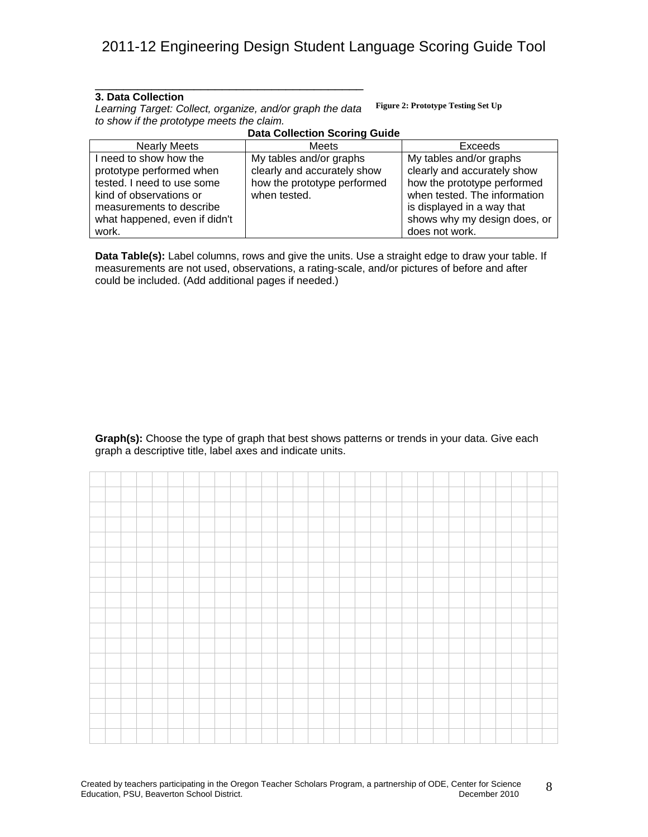### **3. Data Collection**

*Learning Target: Collect, organize, and/or graph the data to show if the prototype meets the claim.*  **Figure 2: Prototype Testing Set Up**

\_\_\_\_\_\_\_\_\_\_\_\_\_\_\_\_\_\_\_\_\_\_\_\_\_\_\_\_\_\_\_\_\_\_\_\_\_\_

#### **Data Collection Scoring Guide**

| <b>Nearly Meets</b>           | Meets                       | Exceeds                      |
|-------------------------------|-----------------------------|------------------------------|
| I need to show how the        | My tables and/or graphs     | My tables and/or graphs      |
| prototype performed when      | clearly and accurately show | clearly and accurately show  |
| tested. I need to use some    | how the prototype performed | how the prototype performed  |
| kind of observations or       | when tested.                | when tested. The information |
| measurements to describe      |                             | is displayed in a way that   |
| what happened, even if didn't |                             | shows why my design does, or |
| work.                         |                             | does not work.               |

**Data Table(s):** Label columns, rows and give the units. Use a straight edge to draw your table. If measurements are not used, observations, a rating-scale, and/or pictures of before and after could be included. (Add additional pages if needed.)

**Graph(s):** Choose the type of graph that best shows patterns or trends in your data. Give each graph a descriptive title, label axes and indicate units.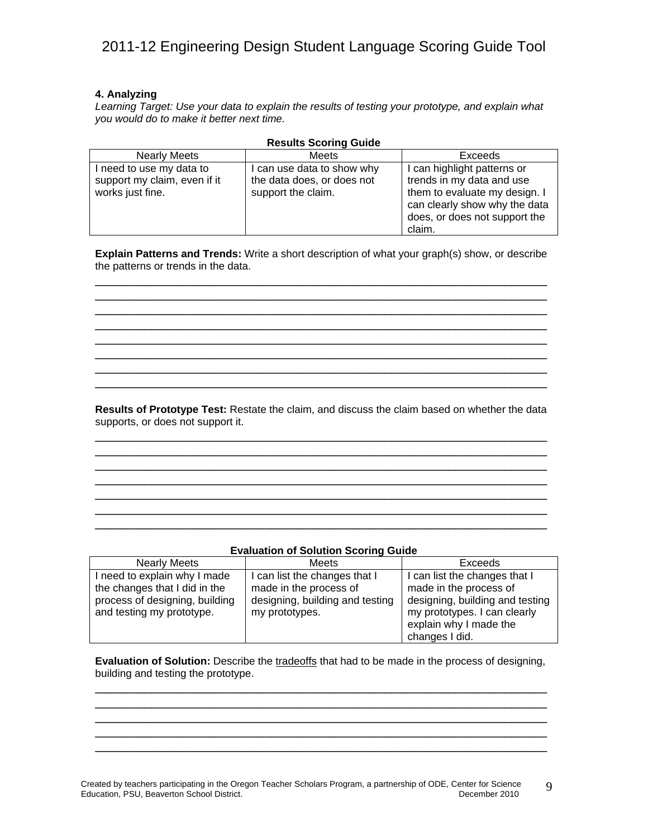### **4. Analyzing**

*Learning Target: Use your data to explain the results of testing your prototype, and explain what you would do to make it better next time.* 

| <b>Nearly Meets</b>          | <b>Meets</b>               | Exceeds                       |
|------------------------------|----------------------------|-------------------------------|
| need to use my data to       | I can use data to show why | I can highlight patterns or   |
| support my claim, even if it | the data does, or does not | trends in my data and use     |
| works just fine.             | support the claim.         | them to evaluate my design. I |
|                              |                            | can clearly show why the data |
|                              |                            | does, or does not support the |
|                              |                            | claim.                        |

### **Results Scoring Guide**

**Explain Patterns and Trends:** Write a short description of what your graph(s) show, or describe the patterns or trends in the data. \_\_\_\_\_\_\_\_\_\_\_\_\_\_\_\_\_\_\_\_\_\_\_\_\_\_\_\_\_\_\_\_\_\_\_\_\_\_\_\_\_\_\_\_\_\_\_\_\_\_\_\_\_\_\_\_\_\_\_\_\_\_\_\_

\_\_\_\_\_\_\_\_\_\_\_\_\_\_\_\_\_\_\_\_\_\_\_\_\_\_\_\_\_\_\_\_\_\_\_\_\_\_\_\_\_\_\_\_\_\_\_\_\_\_\_\_\_\_\_\_\_\_\_\_\_\_\_\_ \_\_\_\_\_\_\_\_\_\_\_\_\_\_\_\_\_\_\_\_\_\_\_\_\_\_\_\_\_\_\_\_\_\_\_\_\_\_\_\_\_\_\_\_\_\_\_\_\_\_\_\_\_\_\_\_\_\_\_\_\_\_\_\_ \_\_\_\_\_\_\_\_\_\_\_\_\_\_\_\_\_\_\_\_\_\_\_\_\_\_\_\_\_\_\_\_\_\_\_\_\_\_\_\_\_\_\_\_\_\_\_\_\_\_\_\_\_\_\_\_\_\_\_\_\_\_\_\_ \_\_\_\_\_\_\_\_\_\_\_\_\_\_\_\_\_\_\_\_\_\_\_\_\_\_\_\_\_\_\_\_\_\_\_\_\_\_\_\_\_\_\_\_\_\_\_\_\_\_\_\_\_\_\_\_\_\_\_\_\_\_\_\_ \_\_\_\_\_\_\_\_\_\_\_\_\_\_\_\_\_\_\_\_\_\_\_\_\_\_\_\_\_\_\_\_\_\_\_\_\_\_\_\_\_\_\_\_\_\_\_\_\_\_\_\_\_\_\_\_\_\_\_\_\_\_\_\_ \_\_\_\_\_\_\_\_\_\_\_\_\_\_\_\_\_\_\_\_\_\_\_\_\_\_\_\_\_\_\_\_\_\_\_\_\_\_\_\_\_\_\_\_\_\_\_\_\_\_\_\_\_\_\_\_\_\_\_\_\_\_\_\_ \_\_\_\_\_\_\_\_\_\_\_\_\_\_\_\_\_\_\_\_\_\_\_\_\_\_\_\_\_\_\_\_\_\_\_\_\_\_\_\_\_\_\_\_\_\_\_\_\_\_\_\_\_\_\_\_\_\_\_\_\_\_\_\_

**Results of Prototype Test:** Restate the claim, and discuss the claim based on whether the data supports, or does not support it. \_\_\_\_\_\_\_\_\_\_\_\_\_\_\_\_\_\_\_\_\_\_\_\_\_\_\_\_\_\_\_\_\_\_\_\_\_\_\_\_\_\_\_\_\_\_\_\_\_\_\_\_\_\_\_\_\_\_\_\_\_\_\_\_

\_\_\_\_\_\_\_\_\_\_\_\_\_\_\_\_\_\_\_\_\_\_\_\_\_\_\_\_\_\_\_\_\_\_\_\_\_\_\_\_\_\_\_\_\_\_\_\_\_\_\_\_\_\_\_\_\_\_\_\_\_\_\_\_ \_\_\_\_\_\_\_\_\_\_\_\_\_\_\_\_\_\_\_\_\_\_\_\_\_\_\_\_\_\_\_\_\_\_\_\_\_\_\_\_\_\_\_\_\_\_\_\_\_\_\_\_\_\_\_\_\_\_\_\_\_\_\_\_  $\overline{\phantom{a}}$  ,  $\overline{\phantom{a}}$  ,  $\overline{\phantom{a}}$  ,  $\overline{\phantom{a}}$  ,  $\overline{\phantom{a}}$  ,  $\overline{\phantom{a}}$  ,  $\overline{\phantom{a}}$  ,  $\overline{\phantom{a}}$  ,  $\overline{\phantom{a}}$  ,  $\overline{\phantom{a}}$  ,  $\overline{\phantom{a}}$  ,  $\overline{\phantom{a}}$  ,  $\overline{\phantom{a}}$  ,  $\overline{\phantom{a}}$  ,  $\overline{\phantom{a}}$  ,  $\overline{\phantom{a}}$ \_\_\_\_\_\_\_\_\_\_\_\_\_\_\_\_\_\_\_\_\_\_\_\_\_\_\_\_\_\_\_\_\_\_\_\_\_\_\_\_\_\_\_\_\_\_\_\_\_\_\_\_\_\_\_\_\_\_\_\_\_\_\_\_

### **Evaluation of Solution Scoring Guide**

\_\_\_\_\_\_\_\_\_\_\_\_\_\_\_\_\_\_\_\_\_\_\_\_\_\_\_\_\_\_\_\_\_\_\_\_\_\_\_\_\_\_\_\_\_\_\_\_\_\_\_\_\_\_\_\_\_\_\_\_\_\_\_\_ \_\_\_\_\_\_\_\_\_\_\_\_\_\_\_\_\_\_\_\_\_\_\_\_\_\_\_\_\_\_\_\_\_\_\_\_\_\_\_\_\_\_\_\_\_\_\_\_\_\_\_\_\_\_\_\_\_\_\_\_\_\_\_\_

| <b>Nearly Meets</b>            | Meets                           | <b>Exceeds</b>                  |
|--------------------------------|---------------------------------|---------------------------------|
| I need to explain why I made   | I can list the changes that I   | I can list the changes that I   |
| the changes that I did in the  | made in the process of          | made in the process of          |
| process of designing, building | designing, building and testing | designing, building and testing |
| and testing my prototype.      | my prototypes.                  | my prototypes. I can clearly    |
|                                |                                 | explain why I made the          |
|                                |                                 | changes I did.                  |

**Evaluation of Solution:** Describe the tradeoffs that had to be made in the process of designing, building and testing the prototype. \_\_\_\_\_\_\_\_\_\_\_\_\_\_\_\_\_\_\_\_\_\_\_\_\_\_\_\_\_\_\_\_\_\_\_\_\_\_\_\_\_\_\_\_\_\_\_\_\_\_\_\_\_\_\_\_\_\_\_\_\_\_\_\_

\_\_\_\_\_\_\_\_\_\_\_\_\_\_\_\_\_\_\_\_\_\_\_\_\_\_\_\_\_\_\_\_\_\_\_\_\_\_\_\_\_\_\_\_\_\_\_\_\_\_\_\_\_\_\_\_\_\_\_\_\_\_\_\_ \_\_\_\_\_\_\_\_\_\_\_\_\_\_\_\_\_\_\_\_\_\_\_\_\_\_\_\_\_\_\_\_\_\_\_\_\_\_\_\_\_\_\_\_\_\_\_\_\_\_\_\_\_\_\_\_\_\_\_\_\_\_\_\_